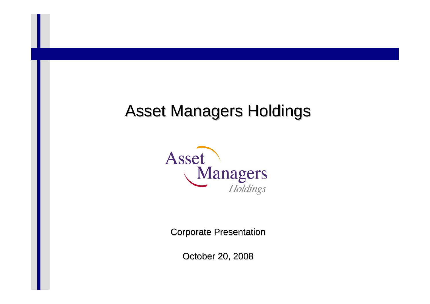# **Asset Managers Holdings**



**Corporate Presentation** 

October 20, 2008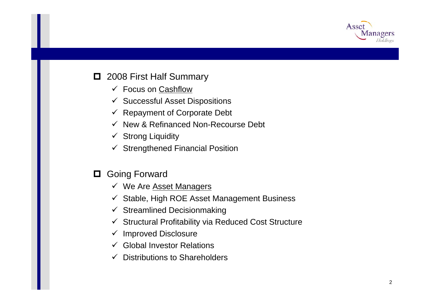

#### **□** 2008 First Half Summary

- $\checkmark$  Focus on Cashflow
- $\checkmark$  Successful Asset Dispositions
- $\checkmark$  Repayment of Corporate Debt
- $\checkmark$  New & Refinanced Non-Recourse Debt
- $\checkmark$  Strong Liquidity
- $\checkmark$  Strengthened Financial Position
- 0. Going Forward
	- v We Are Asset Managers
	- $\checkmark$  Stable, High ROE Asset Management Business
	- $\checkmark$  Streamlined Decisionmaking
	- $\checkmark$  Structural Profitability via Reduced Cost Structure
	- $\checkmark$  Improved Disclosure
	- $\checkmark$  Global Investor Relations
	- $\checkmark$ Distributions to Shareholders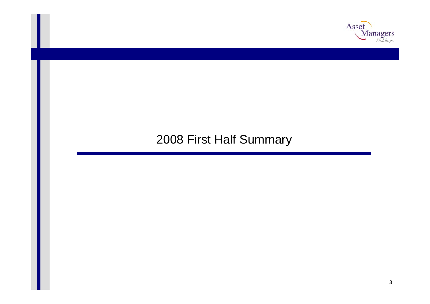

### 2008 First Half Summary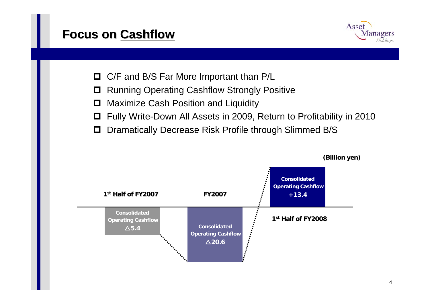#### **Focus on Focus on Cashflow Cashflow**



- □ C/F and B/S Far More Important than P/L
- $\Box$ Running Operating Cashflow Strongly Positive
- 0 Maximize Cash Position and Liquidity
- 0 Fully Write-Down All Assets in 2009, Return to Profitability in 2010
- $\Box$ Dramatically Decrease Risk Profile through Slimmed B/S

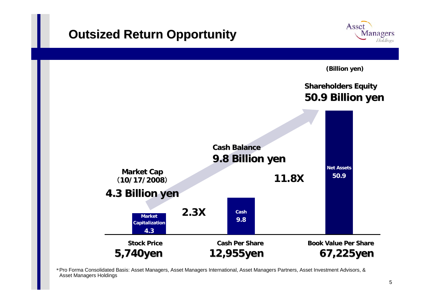#### **Outsized Return Opportunity Outsized Return Opportunity**



**(Billion yen) Shareholders Equity Shareholders Equity 50.9 Billio 50.9 Billion yen**

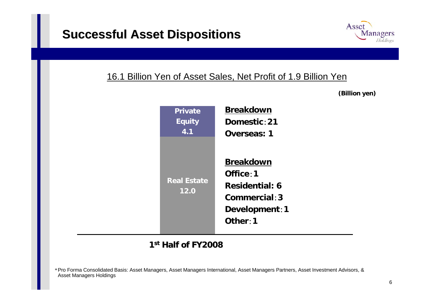

#### 16.1 Billion Yen of Asset Sales, Net Profit of 1.9 Billion Yen

**(Billion yen)**

| <b>Private</b>             | <b>Breakdown</b>                                                                                      |
|----------------------------|-------------------------------------------------------------------------------------------------------|
| <b>Equity</b>              | Domestic: 21                                                                                          |
| 4.1                        | <b>Overseas: 1</b>                                                                                    |
| <b>Real Estate</b><br>12.0 | <b>Breakdown</b><br>Office: 1<br><b>Residential: 6</b><br>Commercial: 3<br>Development: 1<br>Other: 1 |

#### **1stHalf of FY2008 Half of FY2008**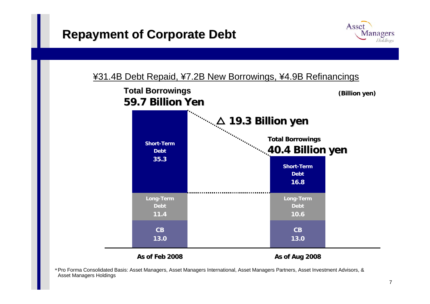





**As of Feb 2008**

**As of Aug 2008**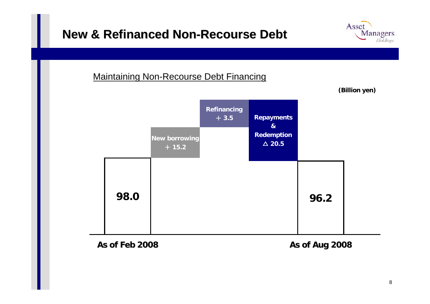#### **New & Refinanced Non New & Refinanced Non -Recourse Debt Recourse Debt**

# **Managers**

Asset

Holdings

#### Maintaining Non-Recourse Debt Financing



#### **As of Feb 2008 As of Feb 2008**

**As of Aug 2008 As of Aug 2008**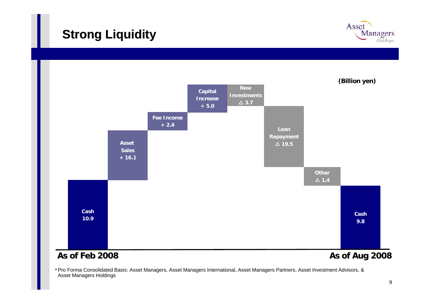### **Strong Liquidity Strong Liquidity**



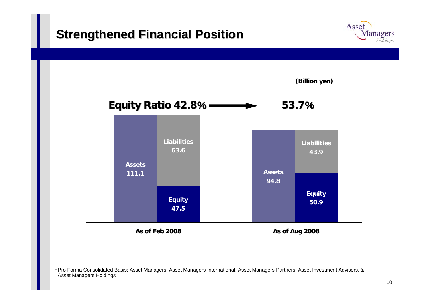#### **Strengthened Financial Position Strengthened Financial Position**



\*Pro Forma Consolidated Basis: Asset Managers, Asset Managers International, Asset Managers Partners, Asset Investment Advisors, & Asset Managers Holdings

Asset

**Managers** Holdings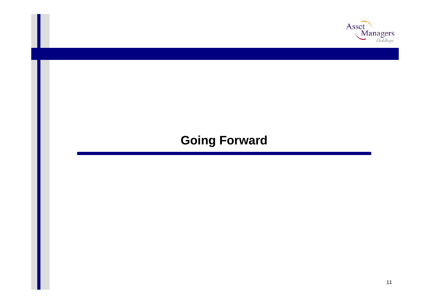

# **Going Forward**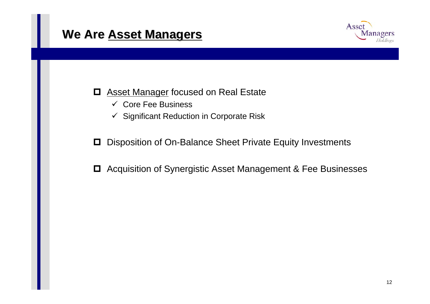#### **We Are Asset Managers**



- 0 **Asset Manager focused on Real Estate** 
	- $\checkmark$  Core Fee Business
	- $\checkmark$  Significant Reduction in Corporate Risk
- 0 Disposition of On-Balance Sheet Private Equity Investments
- $\Box$ Acquisition of Synergistic Asset Management & Fee Businesses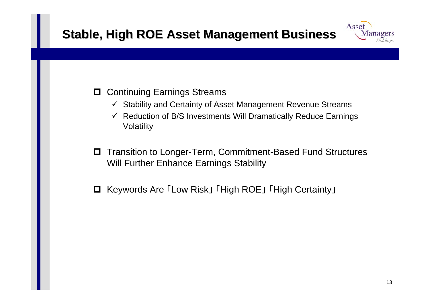## **Stable, High ROE Asset Management Business**



- $\checkmark$ Stability and Certainty of Asset Management Revenue Streams
- $\checkmark$  Reduction of B/S Investments Will Dramatically Reduce Earnings Volatility
- 0 Transition to Longer-Term, Commitment-Based Fund Structures Will Further Enhance Earnings Stability
- **□** Keywords Are 「Low Risk」 「High ROE」 「High Certainty」

Asset

Managers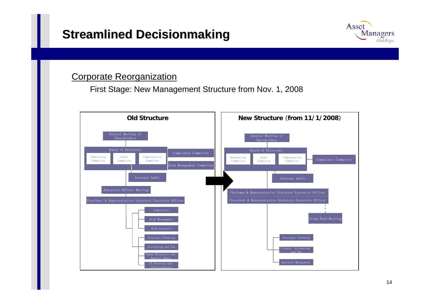#### **Streamlined Decisionmaking**



#### Corporate Reorganization

First Stage: New Management Structure from Nov. 1, 2008

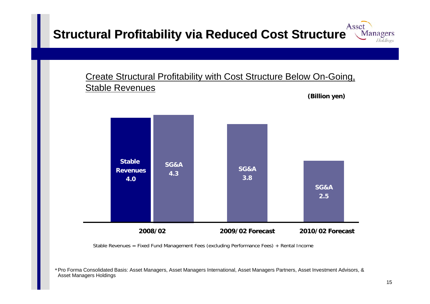#### Asset **Structural Profitability via Reduced Cost Structure Managers** Holdings

#### Create Structural Profitability with Cost Structure Below On-Going, Stable Revenues



Stable Revenues = Fixed Fund Management Fees (excluding Performance Fees) + Rental Income

**(Billion yen)**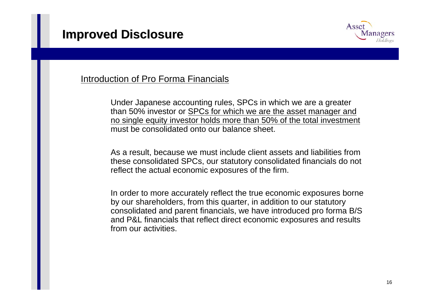

#### Introduction of Pro Forma Financials

Under Japanese accounting rules, SPCs in which we are a greater than 50% investor or SPCs for which we are the asset manager and no single equity investor holds more than 50% of the total investment must be consolidated onto our balance sheet.

As a result, because we must include client assets and liabilities from these consolidated SPCs, our statutory consolidated financials do not reflect the actual economic exposures of the firm.

In order to more accurately reflect the true economic exposures borne by our shareholders, from this quarter, in addition to our statutory consolidated and parent financials, we have introduced pro forma B/S and P&L financials that reflect direct economic exposures and results from our activities.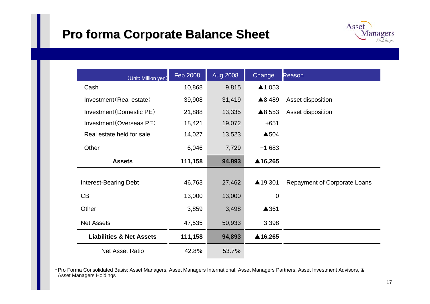### **Pro forma Pro forma Corporate Balance Sheet Corporate Balance Sheet**



| (Unit: Million yen)                 | Feb 2008 | <b>Aug 2008</b> | Change            | Reason                              |
|-------------------------------------|----------|-----------------|-------------------|-------------------------------------|
| Cash                                | 10,868   | 9,815           | $\triangle$ 1,053 |                                     |
| Investment (Real estate)            | 39,908   | 31,419          | ▲8,489            | Asset disposition                   |
| Investment (Domestic PE)            | 21,888   | 13,335          | ▲8,553            | Asset disposition                   |
| Investment (Overseas PE)            | 18,421   | 19,072          | $+651$            |                                     |
| Real estate held for sale           | 14,027   | 13,523          | ▲504              |                                     |
| Other                               | 6,046    | 7,729           | $+1,683$          |                                     |
| <b>Assets</b>                       | 111,158  | 94,893          | ▲16,265           |                                     |
|                                     |          |                 |                   |                                     |
| <b>Interest-Bearing Debt</b>        | 46,763   | 27,462          | ▲19,301           | <b>Repayment of Corporate Loans</b> |
| CB                                  | 13,000   | 13,000          | 0                 |                                     |
| Other                               | 3,859    | 3,498           | ▲361              |                                     |
| <b>Net Assets</b>                   | 47,535   | 50,933          | $+3,398$          |                                     |
| <b>Liabilities &amp; Net Assets</b> | 111,158  | 94,893          | ▲16,265           |                                     |
| <b>Net Asset Ratio</b>              | 42.8%    | 53.7%           |                   |                                     |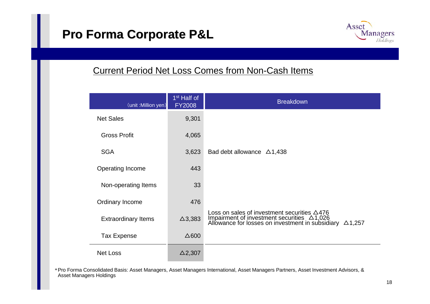### **Pro Forma Corporate P&L**



#### Current Period Net Loss Comes from Non-Cash Items

| (unit : Million yen)       | 1 <sup>st</sup> Half of<br><b>FY2008</b> | <b>Breakdown</b>                                                                                                                                                                      |
|----------------------------|------------------------------------------|---------------------------------------------------------------------------------------------------------------------------------------------------------------------------------------|
| <b>Net Sales</b>           | 9,301                                    |                                                                                                                                                                                       |
| <b>Gross Profit</b>        | 4,065                                    |                                                                                                                                                                                       |
| <b>SGA</b>                 | 3,623                                    | Bad debt allowance $\triangle$ 1,438                                                                                                                                                  |
| <b>Operating Income</b>    | 443                                      |                                                                                                                                                                                       |
| Non-operating Items        | 33                                       |                                                                                                                                                                                       |
| Ordinary Income            | 476                                      |                                                                                                                                                                                       |
| <b>Extraordinary Items</b> | $\Delta$ 3,383                           | Loss on sales of investment securities $\triangle 476$<br>Impairment of investment securities $\triangle 1,026$<br>Allowance for losses on investment in subsidiary<br>$\Delta$ 1,257 |
| <b>Tax Expense</b>         | $\Delta 600$                             |                                                                                                                                                                                       |
| <b>Net Loss</b>            | $\Delta$ 2,307                           |                                                                                                                                                                                       |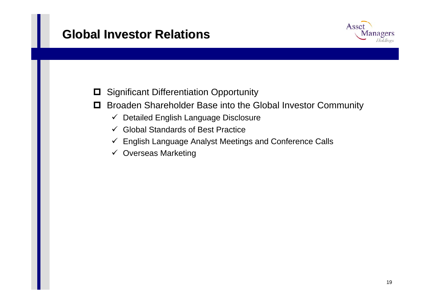#### **Global Investor Relations Global Investor Relations**



0 Significant Differentiation Opportunity

- 0 Broaden Shareholder Base into the Global Investor Community
	- $\checkmark$ Detailed English Language Disclosure
	- $\checkmark$  Global Standards of Best Practice
	- $\checkmark$  English Language Analyst Meetings and Conference Calls
	- $\checkmark$  Overseas Marketing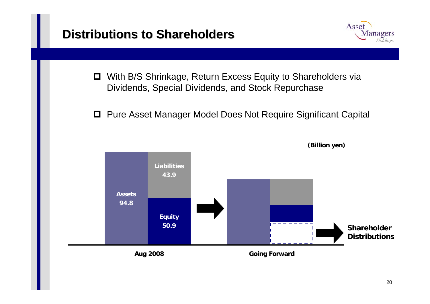#### **Distributions to Shareholders Distributions to Shareholders**



- 0. With B/S Shrinkage, Return Excess Equity to Shareholders via Dividends, Special Dividends, and Stock Repurchase
- Pure Asset Manager Model Does Not Require Significant Capital

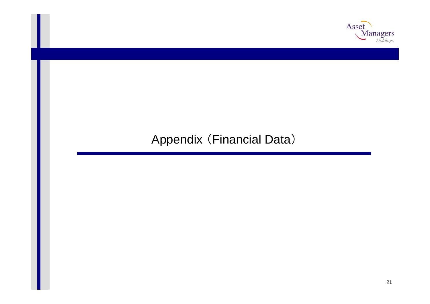

### Appendix (Financial Data)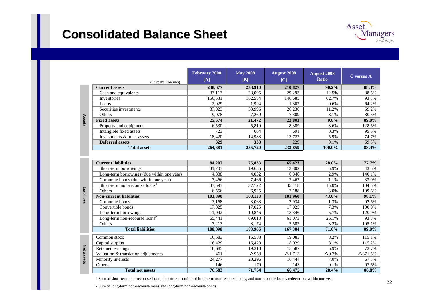#### **Consolidated Consolidated Balance Sheet Balance Sheet**



| (unit: million yen)        | <b>February 2008</b><br>[A] | <b>May 2008</b><br>$[B]$ | <b>August 2008</b><br>[C] | <b>August 2008</b><br><b>Ratio</b> | C versus A |
|----------------------------|-----------------------------|--------------------------|---------------------------|------------------------------------|------------|
| <b>Current assets</b>      | 238,677                     | 233,910                  | 210,827                   | $90.2\%$                           | 88.3%      |
| Cash and equivalents       | 33,113                      | 28,095                   | 29,293                    | 12.5%                              | 88.5%      |
| Inventories                | 156,531                     | 162,554                  | 146.685                   | 62.7%                              | 93.7%      |
| Loans                      | 2.029                       | 1.994                    | 1,302                     | $0.6\%$                            | 64.2%      |
| Securities investments     | 37,923                      | 33,996                   | 26,236                    | 11.2%                              | 69.2%      |
| <b>Others</b>              | 9,078                       | 7,269                    | 7,309                     | 3.1%                               | 80.5%      |
| <b>Fixed assets</b>        | 25,674                      | 21,472                   | 22,803                    | $9.8\%$                            | 89.0%      |
| Property and equipment     | 6,530                       | 5,819                    | 8,389                     | 3.6%                               | 128.5%     |
| Intangible fixed assets    | 723                         | 664                      | 691                       | $0.3\%$                            | 95.5%      |
| Investments & other assets | 18,420                      | 14,988                   | 13,722                    | 5.9%                               | 74.7%      |
| <b>Deferred assets</b>     | <b>329</b>                  | 338                      | 229                       | $0.1\%$                            | 69.5%      |
| <b>Total assets</b>        | 264,681                     | 255,720                  | 233,859                   | 100.0%                             | 88.4%      |

|             | <b>Current liabilities</b>                 | 84,207  | 75,833       | 65,423         | 28.0%          | 77.7%           |
|-------------|--------------------------------------------|---------|--------------|----------------|----------------|-----------------|
|             | Short-term borrowings                      | 31,703  | 19,685       | 13,802         | 5.9%           | 43.5%           |
|             | Long-term borrowings (due within one year) | 4,888   | 4,032        | 6,846          | 2.9%           | 140.1%          |
|             | Corporate bonds (due within one year)      | 7,466   | 7,466        | 2,467          | 1.1%           | 33.0%           |
|             | Short-term non-recourse $loans1$           | 33,593  | 37,722       | 35,118         | 15.0%          | 104.5%          |
|             | <b>Others</b>                              | 6,556   | 6,925        | 7,188          | 3.0%           | 109.6%          |
| Liabilities | <b>Non-current liabilities</b>             | 103,890 | 108,133      | 101,960        | 43.6%          | 98.1%           |
|             | Corporate bonds                            | 3,168   | 3,068        | 2,934          | 1.3%           | 92.6%           |
|             | Convertible bonds                          | 17,025  | 17,025       | 17,025         | 7.3%           | 100.0%          |
|             | Long-term borrowings                       | 11,042  | 10,846       | 13,346         | 5.7%           | 120.9%          |
|             | Long-term non-recourse loans <sup>2</sup>  | 65,441  | 69,018       | 61,073         | 26.1%          | 93.3%           |
|             | Others                                     | 7,213   | 8,174        | 7,582          | 3.2%           | 105.1%          |
|             | <b>Total liabilities</b>                   | 188,098 | 183,966      | 167,384        | 71.6%          | 89.0%           |
|             | Common stock                               | 16,583  | 16,583       | 19,083         | 8.2%           | 115.1%          |
|             | Capital surplus                            | 16,429  | 16,429       | 18,929         | 8.1%           | 115.2%          |
| Net         | Retained earnings                          | 18,685  | 19,218       | 13,587         | 5.9%           | 72.7%           |
|             | Valuation & translation adjustments        | 461     | $\Delta$ 953 | $\Delta$ 1,713 | $\Delta 0.7\%$ | $\Delta$ 371.5% |
| assets      | Minority interests                         | 24,277  | 20,296       | 16,444         | 7.0%           | 67.7%           |
|             | Others                                     | 146     | 179          | 143            | 0.1%           | 97.6%           |
|             | <b>Total net assets</b>                    | 76,583  | 71,754       | 66,475         | 28.4%          | 86.8%           |

Assets

<sup>1</sup> Sum of short-term non-recourse loans, the current portion of long-term non-recourse loans, and non-recourse bonds redeemable within one year

2 Sum of long-term non-recourse loans and long-term non-recourse bonds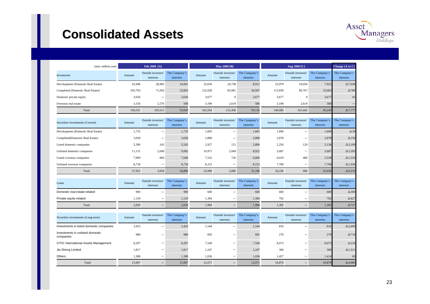#### **Consolidated Assets Consolidated Assets**



| (unit: million yen)                           |         | Feb 2008 [A]                    |                            |         | <b>May 2008 [B]</b>             |                                   |         | Aug 2008 [C]                    |                            | Change (A to C)            |
|-----------------------------------------------|---------|---------------------------------|----------------------------|---------|---------------------------------|-----------------------------------|---------|---------------------------------|----------------------------|----------------------------|
| Inventories                                   | Amount  | Outside investors'<br>interests | The Company's<br>interests | Amount  | Outside investors'<br>interests | The Company's<br>interests        | Amount  | Outside investors'<br>interests | The Company's<br>interests | The Company's<br>interests |
| Development (Domestic Real Estate)            | 43,946  | 28,985                          | 14,961                     | 33,650  | 24,738                          | 8,912                             | 25,979  | 18,056                          | 7,923                      | $\Delta$ 7,038             |
| Completed (Domestic Real Estate))             | 105,793 | 71,950                          | 33,843                     | 122,028 | 85,081                          | 36,947                            | 113,830 | 80,767                          | 33,063                     | $\Delta$ 780               |
| Domestic private equity                       | 3,636   | $\overline{\phantom{0}}$        | 3,636                      | 3,677   | $\overline{0}$                  | 3,677                             | 3,677   | $\boldsymbol{0}$                | 3,677                      | 41                         |
| Overseas real estate                          | 3,156   | 2,576                           | 580                        | 3,199   | 2,619                           | 580                               | 3,199   | 2,619                           | 580                        |                            |
| Total                                         | 156,531 | 103,511                         | 53,020                     | 162,554 | 112,438                         | 50,116                            | 146,685 | 101,442                         | 45,243                     | $\Delta$ 7,777             |
| Securities investments (Current)              | Amount  | Outside investors'<br>interests | The Company's<br>interests | Amount  | Outside investors'<br>interests | The Company's<br><i>interests</i> | Amount  | Outside investors'<br>interests | The Company's<br>interests | The Company's<br>interests |
| Development (Domestic Real Estate)            | 1,735   | $\overline{\phantom{0}}$        | 1,735                      | 1,605   | $\overline{\phantom{0}}$        | 1,605                             | 1,696   | $\overline{\phantom{0}}$        | 1,696                      | $\Delta$ 39                |
| Completed(Domestic Real Estate)               | 3,028   |                                 | 3,028                      | 2,808   |                                 | 2,808                             | 2,878   | $\overline{\phantom{0}}$        | 2,878                      | $\Delta$ 150               |
| Listed domestic companies                     | 5,390   | 145                             | 5,245                      | 2,927   | 121                             | 2,806                             | 2,256   | 120                             | 2,136                      | $\Delta$ 3,109             |
| Unlisted domestic companies                   | 11,131  | 2,049                           | 9,082                      | 10,971  | 2,049                           | 8,922                             | 5,687   | $\overline{\phantom{0}}$        | 5,687                      | $\Delta$ 3,395             |
| Listed overseas companies                     | 7,909   | 860                             | 7,049                      | 7,532   | 726                             | 6,806                             | 6,019   | 480                             | 5,539                      | $\Delta$ 1,510             |
| Unlisted overseas companies                   | 8,730   | $\overline{\phantom{0}}$        | 8,730                      | 8,153   | $\overline{\phantom{0}}$        | 8,153                             | 7,700   | $\overline{\phantom{0}}$        | 7,700                      | $\Delta$ 1,030             |
| Total                                         | 37,923  | 3,054                           | 34,869                     | 33,996  | 2,896                           | 31,100                            | 26,236  | 600                             | 25,636                     | $\Delta$ 9,233             |
| Loans                                         | Amount  | Outside investors'<br>interests | The Company's<br>interests | Amount  | Outside investors'<br>interests | The Company's<br>interests        | Amount  | Outside investors'<br>interests | The Company's<br>interests | The Company's<br>interests |
| Domestic real estate-related                  | 900     |                                 | 900                        | 600     | $\overline{\phantom{0}}$        | 600                               | 600     | $\overline{\phantom{0}}$        | 600                        | $\Delta 300$               |
| Private equity-related                        | 1.129   |                                 | 1,129                      | 1,394   | $\qquad \qquad -$               | 1,394                             | 702     | -                               | 702                        | $\Delta$ 427               |
| Total                                         | 2.029   | $\qquad \qquad -$               | 2.029                      | 1.994   | $\qquad \qquad -$               | 1.994                             | 1.302   | $\overline{\phantom{0}}$        | 1.302                      | $\Delta$ 727               |
| Securities investments (Long-term)            | Amount  | Outside investors'<br>interests | The Company's<br>interests | Amount  | Outside investors'<br>interests | The Company's<br>interests        | Amount  | Outside investors'<br>interests | The Company's<br>interests | The Company's<br>interests |
| Investments in listed domestic companies      | 3,425   | $\overline{\phantom{a}}$        | 3,425                      | 1,544   | $\qquad \qquad -$               | 1,544                             | 816     | $\overline{\phantom{0}}$        | 816                        | $\Delta$ 2,609             |
| Investments in unlisted domestic<br>companies | 980     |                                 | 980                        | 695     | $\overline{\phantom{0}}$        | 695                               | 270     |                                 | 270                        | $\Delta$ 710               |
| CITIC International Assets Management         | 8,297   |                                 | 8,297                      | 7,549   | —                               | 7,549                             | 8,073   | $\overline{\phantom{0}}$        | 8,073                      | $\Delta$ 224               |
| Jia Sheng Limited                             | 1,817   |                                 | 1,817                      | 1,247   |                                 | 1,247                             | 306     | $\overline{\phantom{0}}$        | 306                        | $\Delta$ 1,511             |
| Others                                        | 1.388   | $\overline{\phantom{0}}$        | 1,388                      | 1.036   | $\overline{\phantom{0}}$        | 1,036                             | 1.457   | $\overline{\phantom{0}}$        | 1,414                      | 69                         |
| Total                                         | 15,907  |                                 | 15,907                     | 12,071  |                                 | 12,071                            | 10.879  | $\qquad \qquad -$               | 10,879                     | $\Delta$ 4,985             |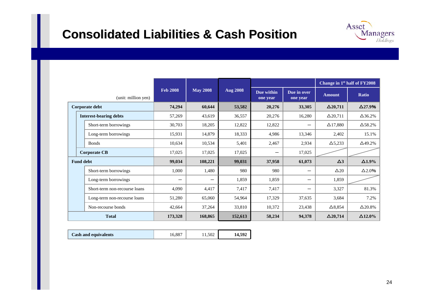#### **Consolidated Consolidated Liabilities & Cash Position Liabilities & Cash Position**

| Asset |                             |
|-------|-----------------------------|
|       | <b>Managers</b><br>Holdings |

|              |                               |                     |                 |                 |                 |                        |                         | Change in 1 <sup>st</sup> half of FY2008 |                |
|--------------|-------------------------------|---------------------|-----------------|-----------------|-----------------|------------------------|-------------------------|------------------------------------------|----------------|
|              |                               | (unit: million yen) | <b>Feb 2008</b> | <b>May 2008</b> | <b>Aug 2008</b> | Due within<br>one year | Due in over<br>one year | <b>Amount</b>                            | Ratio          |
|              | Corporate debt                |                     | 74,294          | 60,644          | 53,582          | 20,276                 | 33,305                  | $\Delta$ 20,711                          | $\Delta$ 27.9% |
|              | <b>Interest-bearing debts</b> |                     | 57,269          | 43,619          | 36,557          | 20,276                 | 16,280                  | $\Delta$ 20,711                          | $\Delta$ 36.2% |
|              | Short-term borrowings         |                     | 30,703          | 18,205          | 12,822          | 12,822                 | —                       | $\Delta$ 17,880                          | $\Delta$ 58.2% |
|              | Long-term borrowings          |                     | 15,931          | 14,879          | 18,333          | 4,986                  | 13,346                  | 2,402                                    | 15.1%          |
|              | <b>Bonds</b>                  |                     | 10,634          | 10,534          | 5,401           | 2,467                  | 2,934                   | $\Delta$ 5,233                           | $\Delta$ 49.2% |
|              | <b>Corporate CB</b>           |                     | 17,025          | 17,025          | 17,025          |                        | 17,025                  |                                          |                |
|              | <b>Fund debt</b>              |                     | 99,034          | 108,221         | 99,031          | 37,958                 | 61,073                  | $\Delta$ 3                               | $\Delta1.9\%$  |
|              | Short-term borrowings         |                     | 1,000           | 1,480           | 980             | 980                    | —                       | $\Delta 20$                              | $\Delta 2.0%$  |
|              | Long-term borrowings          |                     |                 | —               | 1,859           | 1,859                  | —                       | 1,859                                    |                |
|              | Short-term non-recourse loans |                     | 4,090           | 4,417           | 7,417           | 7,417                  | -                       | 3,327                                    | 81.3%          |
|              | Long-term non-recourse loans  |                     | 51,280          | 65,060          | 54,964          | 17,329                 | 37,635                  | 3,684                                    | 7.2%           |
|              | Non-recourse bonds            |                     | 42,664          | 37,264          | 33,810          | 10,372                 | 23,438                  | $\Delta$ 8,854                           | $\Delta$ 20.8% |
| <b>Total</b> |                               |                     | 173,328         | 168,865         | 152,613         | 58,234                 | 94,378                  | $\Delta$ 20,714                          | $\Delta$ 12.0% |

| <b>Cash and equivalents</b> | . 887 | 1.502 | 14,592 |
|-----------------------------|-------|-------|--------|
|-----------------------------|-------|-------|--------|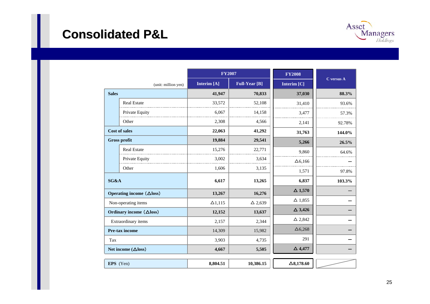#### **Consolidated P&L Consolidated P&L**



|                            |                                  | <b>FY2007</b>  |                      | <b>FY2008</b>     |            |
|----------------------------|----------------------------------|----------------|----------------------|-------------------|------------|
|                            | (unit: million yen)              | Interim [A]    | <b>Full-Year [B]</b> | Interim [C]       | C versus A |
| <b>Sales</b>               |                                  | 41,947         | 70,833               | 37,030            | 88.3%      |
|                            | <b>Real Estate</b>               | 33,572         | 52,108               | 31,410            | 93.6%      |
|                            | Private Equity                   | 6,067          | 14,158               | 3.477             | 57.3%      |
|                            | Other                            | 2,308          | 4,566                | 2,141             | 92.78%     |
|                            | <b>Cost of sales</b>             | 22,063         | 41,292               | 31,763            | 144.0%     |
|                            | <b>Gross profit</b>              | 19,884         | 29,541               | 5,266             | 26.5%      |
|                            | <b>Real Estate</b>               | 15,276         | 22,771               | 9,860             | 64.6%      |
|                            | Private Equity                   | 3,002          | 3,634                | $\Delta$ 6,166    |            |
|                            | Other                            | 1,606          | 3,135                | 1,571             | 97.8%      |
| SG&A                       |                                  | 6,617          | 13,265               | 6,837             | 103.3%     |
|                            | Operating income $(\Delta$ loss) | 13,267         | 16,276               | $\Delta$ 1,570    |            |
|                            | Non-operating items              | $\Delta$ 1,115 | $\Delta 2,639$       | $\Delta$ 1,855    |            |
|                            | Ordinary income (△loss)          | 12,152         | 13,637               | $\Delta$ 3,426    |            |
|                            | Extraordinary items              | 2,157          | 2,344                | $\Delta$ 2,842    |            |
| Pre-tax income             |                                  | 14,309         | 15,982               | $\Delta$ 6,268    |            |
| Tax                        |                                  | 3,903          | 4,735                | 291               |            |
| Net income $(\Delta$ loss) |                                  | 4,667          | 5,505                | $\Delta$ 4,477    |            |
|                            |                                  |                |                      |                   |            |
| EPS (Yen)                  |                                  | 8,804.51       | 10,386.15            | $\Delta 8,178.60$ |            |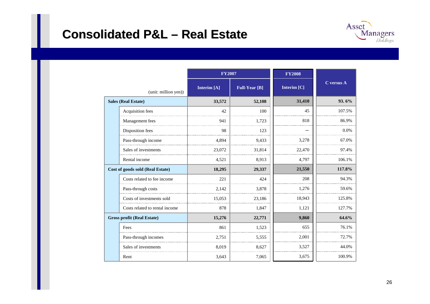#### **Consolidated P&L Consolidated P&L –Real Estate Real Estate**



|                                   |                                  | <b>FY2007</b> |                      | <b>FY2008</b> |            |
|-----------------------------------|----------------------------------|---------------|----------------------|---------------|------------|
|                                   | (unit: million yen))             | Interim [A]   | <b>Full-Year [B]</b> | Interim [C]   | C versus A |
|                                   | <b>Sales (Real Estate)</b>       | 33,572        | 52,108               | 31,410        | 93.6%      |
|                                   | Acquisition fees                 | 42            | 100                  | 45            | 107.5%     |
|                                   | Management fees                  | 941           | 1.723                | 818           | 86.9%      |
|                                   | Disposition fees                 | 98            | 123                  |               | 0.0%       |
|                                   | Pass-through income              | 4,894         | 9,433                | 3,278         | 67.0%      |
|                                   | Sales of investments             | 23,072        | 31,814               | 22,470        | 97.4%      |
|                                   | Rental income                    | 4,521         | 8,913                | 4,797         | 106.1%     |
|                                   | Cost of goods sold (Real Estate) | 18,295        | 29,337               | 21,550        | 117.8%     |
|                                   | Costs related to fee income      | 22.1          | 424                  | 208           | 94.3%      |
|                                   | Pass-through costs               | 2.142         | 3,878                | 1,276         | 59.6%      |
|                                   | Costs of investments sold        | 15.053        | 23.186               | 18.943        | 125.8%     |
|                                   | Costs related to rental income   | 878           | 1,847                | 1,121         | 127.7%     |
| <b>Gross profit (Real Estate)</b> |                                  | 15,276        | 22,771               | 9,860         | 64.6%      |
|                                   | Fees                             | 861           | 1,523                | 655           | 76.1%      |
|                                   | Pass-through incomes             | 2,751         | 5,555                | 2,001         | 72.7%      |
|                                   | Sales of investments             | 8,019         | 8,627                | 3,527         | 44.0%      |
|                                   | Rent                             | 3,643         | 7,065                | 3,675         | 100.9%     |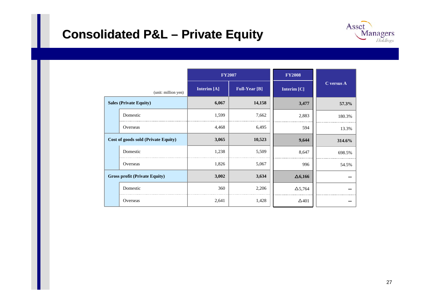### **Consolidated P&L – Private Equity**



|                                      |                               | <b>FY2007</b> |                      | <b>FY2008</b>  |            |
|--------------------------------------|-------------------------------|---------------|----------------------|----------------|------------|
| (unit: million yen)                  |                               | Interim [A]   | <b>Full-Year</b> [B] | Interim [C]    | C versus A |
|                                      | <b>Sales (Private Equity)</b> | 6,067         | 14,158               | 3,477          | 57.3%      |
|                                      | Domestic                      | 1,599         | 7,662                | 2,883          | 180.3%     |
|                                      | Overseas                      | 4,468         | 6,495                | 594            | 13.3%      |
| Cost of goods sold (Private Equity)  |                               | 3,065         | 10,523               | 9,644          | 314.6%     |
|                                      | Domestic                      | 1,238         | 5,509                | 8,647          | 698.5%     |
|                                      | Overseas                      | 1,826         | 5,067                | 996            | 54.5%      |
| <b>Gross profit (Private Equity)</b> |                               | 3,002         | 3,634                | $\Delta 6,166$ |            |
|                                      | Domestic                      | 360           | 2,206                | $\Delta$ 5,764 |            |
|                                      | Overseas                      | 2,641         | 1,428                | $\Delta$ 401   |            |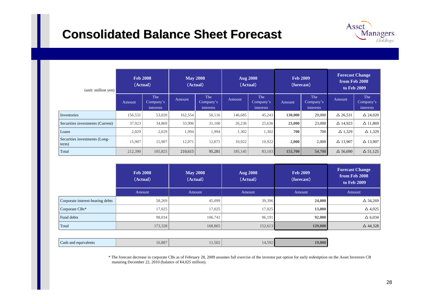#### **Consolidated Balance Sheet Forecast Consolidated Balance Sheet Forecast**



| <b>Feb 2008</b><br>(Actual) | <b>May 2008</b><br>(Actual) | <b>Aug 2008</b><br>(Actual) | <b>Feb 2009</b><br>(forecast) | <b>Forecast Change</b><br>from Feb 2008<br>to Feb 2009 |
|-----------------------------|-----------------------------|-----------------------------|-------------------------------|--------------------------------------------------------|
| Amount                      | Amount                      | Amount                      | Amount                        | Amount                                                 |
| 58,269                      | 45,099                      |                             | 24,000                        | $\Delta$ 34,269                                        |
| 17,025                      | 17,025                      | 17,025                      | 13,000                        | $\Delta$ 4,025                                         |
| 98,034                      | 106,741                     | 96,191                      | 92,000                        | $\Delta$ 6,034                                         |
|                             | 168,865                     |                             | 129,000                       | $\Delta$ 44,328                                        |
|                             |                             | 173,328                     |                               | 39,396<br>152,613                                      |

| Cash and equivalents |
|----------------------|
|----------------------|

\* The forecast decrease in corporate CBs as of February 28, 2009 assumes full exercise of the investor put option for early redemption on the Asset Investors CB maturing December 22, 2010 (balance of ¥4,025 million).

Asset

**Managers** Holdings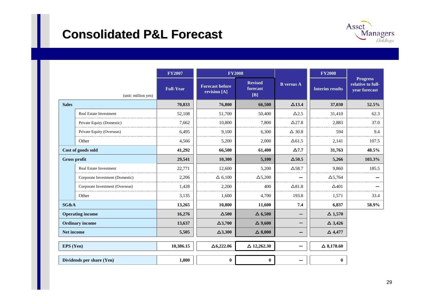#### **Consolidated P&L Forecast Consolidated P&L Forecast**



|              |                                 | <b>FY2007</b>    | <b>FY2008</b>                          |                                   |                   | <b>FY2008</b>          |                                                       |
|--------------|---------------------------------|------------------|----------------------------------------|-----------------------------------|-------------------|------------------------|-------------------------------------------------------|
|              | (unit: million yen)             | <b>Full-Year</b> | <b>Forecast before</b><br>revision [A] | <b>Revised</b><br>forecast<br>[B] | <b>B</b> versus A | <b>Interim results</b> | <b>Progress</b><br>relative to full-<br>year forecast |
| <b>Sales</b> |                                 | 70,833           | 76,800                                 | 66,500                            | $\Delta$ 13.4     | 37,030                 | 52.5%                                                 |
|              | <b>Real Estate Investment</b>   | 52,108           | 51,700                                 | 50,400                            | $\Delta$ 2.5      | 31,410                 | 62.3                                                  |
|              | Private Equity (Domestic)       | 7.662            | 10,800                                 | 7,800                             | $\Delta$ 27.8     | 2,883                  | 37.0                                                  |
|              | Private Equity (Overseas)       | 6,495            | 9,100                                  | 6,300                             | $\Delta$ 30.8     | 594                    | 9.4                                                   |
|              | Other                           | 4,566            | 5,200                                  | 2,000                             | $\Delta$ 61.5     | 2,141                  | 107.5                                                 |
|              | Cost of goods sold              | 41,292           | 66,500                                 | 61,400                            | $\Delta$ 7.7      | 31,763                 | 48.5%                                                 |
|              | <b>Gross profit</b>             | 29,541           | 10,300                                 | 5,100                             | $\Delta$ 50.5     | 5,266                  | 103.3%                                                |
|              | Real Estate Investment          | 22,771           | 12,600                                 | 5,200                             | $\Delta$ 58.7     | 9,860                  | 185.5                                                 |
|              | Corporate Investment (Domestic) | 2,206            | $\Delta$ 6,100                         | $\Delta$ 5,200                    |                   | $\Delta$ 5,764         |                                                       |
|              | Corporate Investment (Overseas) | 1,428            | 2,200                                  | 400                               | $\Delta 81.8$     | $\Delta$ 401           |                                                       |
|              | Other                           | 3,135            | 1,600                                  | 4,700                             | 193.8             | 1,571                  | 33.4                                                  |
| SG&A         |                                 | 13,265           | 10,800                                 | 11,600                            | 7.4               | 6,837                  | 58.9%                                                 |
|              | <b>Operating income</b>         | 16,276           | $\Delta$ 500                           | $\Delta$ 6,500                    |                   | $\Delta$ 1,570         |                                                       |
|              | <b>Ordinary income</b>          | 13,637           | $\Delta$ 3,700                         | $\Delta$ 9,600                    |                   | $\Delta$ 3,426         |                                                       |
|              | Net income                      | 5,505            | $\Delta$ 3,300                         | $\Delta$ 8,000                    |                   | $\Delta$ 4,477         |                                                       |
| EPS (Yen)    |                                 | 10,386.15        | $\Delta$ 6,222.06                      | $\Delta$ 12,262.30                |                   | $\Delta$ 8,178.60      |                                                       |
|              | Dividends per share (Yen)       | 1,800            | $\bf{0}$                               | $\bf{0}$                          |                   | $\bf{0}$               |                                                       |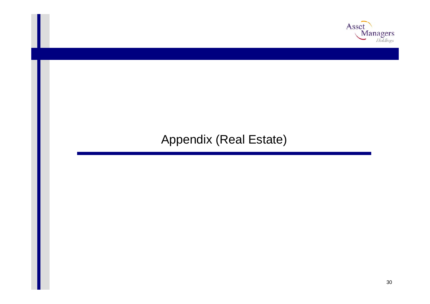

#### Appendix (Real Estate)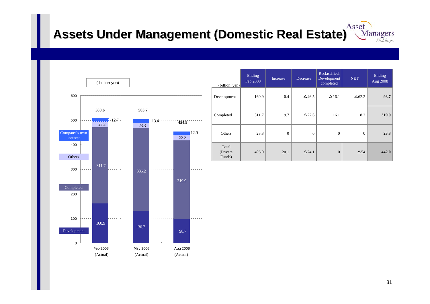#### Asset **Assets Under Management (Domestic Real Estate) Assets Under Management (Domestic Real Estate)** Managers Holdings



| $(billion \text{ yen})$      | Ending<br>Feb 2008 | Increase | Decrease      | Reclassified:<br>Development<br>completed | <b>NET</b>    | Ending<br>Aug 2008 |
|------------------------------|--------------------|----------|---------------|-------------------------------------------|---------------|--------------------|
| Development                  | 160.9              | 0.4      | $\Delta$ 46.5 | $\Delta$ 16.1                             | $\Delta 62.2$ | 98.7               |
| Completed                    | 311.7              | 19.7     | $\Delta$ 27.6 | 16.1                                      | 8.2           | 319.9              |
| Others                       | 23.3               | $\Omega$ | $\theta$      | $\overline{0}$                            | $\Omega$      | 23.3               |
| Total<br>(Private)<br>Funds) | 496.0              | 20.1     | $\Delta$ 74.1 | $\mathbf{0}$                              | $\Delta$ 54   | 442.0              |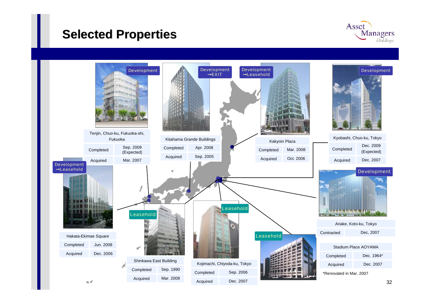#### **Selected Properties Selected Properties**



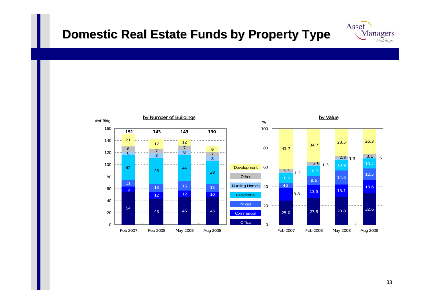#### **Domestic Real Estate Funds by Property Type**



Asset

Managers Holdings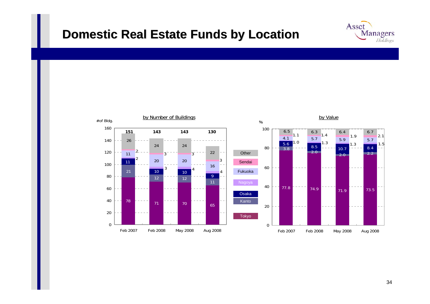#### **Domestic Real Estate Funds by Location**



Asset

Managers Holdings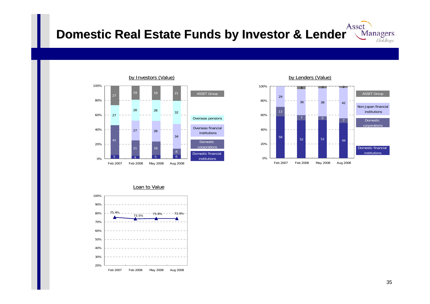#### Asset **Domestic Real Estate Funds by Investor & Lender** Managers Holdings





<u>Loan to Value</u>

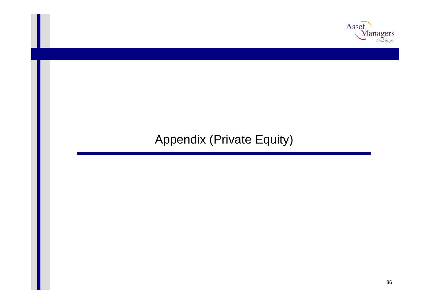

### Appendix (Private Equity)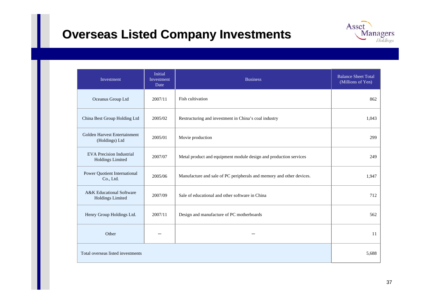## **Overseas Listed Company Investments**



| Investment                                                     | <b>Initial</b><br>Investment<br>Date | <b>Business</b>                                                      | <b>Balance Sheet Total</b><br>(Millions of Yen) |
|----------------------------------------------------------------|--------------------------------------|----------------------------------------------------------------------|-------------------------------------------------|
| Oceanus Group Ltd                                              | 2007/11                              | Fish cultivation                                                     | 862                                             |
| China Best Group Holding Ltd                                   | 2005/02                              | Restructuring and investment in China's coal industry                | 1,043                                           |
| Golden Harvest Entertainment<br>(Holdings) Ltd                 | 2005/01                              | Movie production                                                     | 299                                             |
| <b>EVA</b> Precision Industrial<br><b>Holdings Limited</b>     | 2007/07                              | Metal product and equipment module design and production services    | 249                                             |
| <b>Power Quotient International</b><br>Co., Ltd.               | 2005/06                              | Manufacture and sale of PC peripherals and memory and other devices. | 1,947                                           |
| <b>A&amp;K</b> Educational Software<br><b>Holdings Limited</b> | 2007/09                              | Sale of educational and other software in China                      | 712                                             |
| Henry Group Holdings Ltd.                                      | 2007/11                              | Design and manufacture of PC motherboards                            | 562                                             |
| Other                                                          |                                      |                                                                      | 11                                              |
| Total overseas listed investments                              |                                      |                                                                      | 5,688                                           |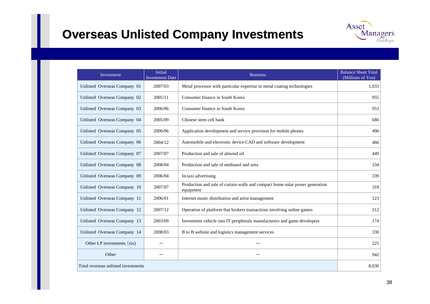### **Overseas Unlisted Company Investments**

| Asset |                             |
|-------|-----------------------------|
|       | <b>Managers</b><br>Holdings |

| Investment                          | <b>Initial</b><br><b>Investment Date</b> | <b>Business</b>                                                                           | <b>Balance Sheet Total</b><br>(Millions of Yen) |
|-------------------------------------|------------------------------------------|-------------------------------------------------------------------------------------------|-------------------------------------------------|
| Unlisted Overseas Company 01        | 2007/03                                  | Metal processor with particular expertise in metal coating technologies                   | 1,033                                           |
| Unlisted Overseas Company 02        | 2005/11                                  | Consumer finance in South Korea                                                           | 955                                             |
| Unlisted Overseas Company 03        | 2006/06                                  | Consumer finance in South Korea                                                           | 953                                             |
| Unlisted Overseas Company 04        | 2005/09                                  | Chinese stem cell bank                                                                    | 686                                             |
| Unlisted Overseas Company 05        | 2006/06                                  | Application development and service provision for mobile phones                           | 496                                             |
| Unlisted Overseas Company 06        | 2004/12                                  | Automobile and electronic device CAD and software development                             | 466                                             |
| Unlisted Overseas Company 07        | 2007/07                                  | Production and sale of almond oil                                                         | 449                                             |
| Unlisted Overseas Company 08        | 2008/04                                  | Production and sale of methanol and urea                                                  | 334                                             |
| Unlisted Overseas Company 09        | 2006/04                                  | In-taxi advertising                                                                       | 339                                             |
| Unlisted Overseas Company 10        | 2007/07                                  | Production and sale of curtain walls and compact home solar power generation<br>equipment | 318                                             |
| Unlisted Overseas Company 11        | 2006/01                                  | Internet music distribution and artist management                                         | 123                                             |
| Unlisted Overseas Company 12        | 2007/12                                  | Operation of platform that brokers transactions involving online games                    | 212                                             |
| Unlisted Overseas Company 13        | 2003/09                                  | Investment vehicle into IT peripherals manufacturers and game developers                  | 174                                             |
| Unlisted Overseas Company 14        | 2008/03                                  | B to B website and logistics management services                                          | 330                                             |
| Other LP investments. (six)         |                                          |                                                                                           | 225                                             |
| Other                               |                                          |                                                                                           | 942                                             |
| Total overseas unlisted investments |                                          |                                                                                           | 8,030                                           |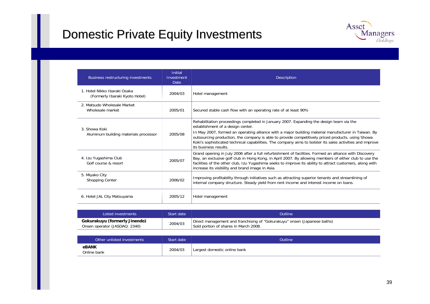### Domestic Private Equity Investments Domestic Private Equity Investments



| Business restructuring investments                             | <b>Initial</b><br>Investment<br><b>Date</b> | <b>Description</b>                                                                                                                                                                                                                                                                                                                                                                                                                                                             |
|----------------------------------------------------------------|---------------------------------------------|--------------------------------------------------------------------------------------------------------------------------------------------------------------------------------------------------------------------------------------------------------------------------------------------------------------------------------------------------------------------------------------------------------------------------------------------------------------------------------|
| 1. Hotel Nikko Ibaraki Osaka<br>(Formerly Ibaraki Kyoto Hotel) | 2004/03                                     | Hotel management                                                                                                                                                                                                                                                                                                                                                                                                                                                               |
| 2. Matsudo Wholesale Market<br>Wholesale market                | 2005/01                                     | Secured stable cash flow with an operating rate of at least 90%                                                                                                                                                                                                                                                                                                                                                                                                                |
| 3. Showa Koki<br>Aluminum building materials processor         | 2005/08                                     | Rehabilitation proceedings completed in January 2007. Expanding the design team via the<br>establishment of a design center.<br>In May 2007, formed an operating alliance with a major building material manufacturer in Taiwan. By<br>outsourcing production, the company is able to provide competitively priced products, using Showa<br>Koki's sophisticated technical capabilities. The company aims to bolster its sales activities and improve<br>its business results. |
| 4. Izu Yugashima Club<br>Golf course & resort                  | 2005/07                                     | Grand opening in July 2006 after a full refurbishment of facilities. Formed an alliance with Discovery<br>Bay, an exclusive golf club in Hong Kong, in April 2007. By allowing members of either club to use the<br>facilities of the other club, Izu Yugashima seeks to improve its ability to attract customers, along with<br>increase its visibility and brand image in Asia.                                                                                              |
| 5. Miyako City<br><b>Shopping Center</b>                       | 2006/02                                     | Improving profitability through initiatives such as attracting superior tenants and streamlining of<br>internal company structure. Steady yield from rent income and interest income on loans.                                                                                                                                                                                                                                                                                 |
| 6. Hotel JAL City Matsuyama                                    | 2005/12                                     | Hotel management                                                                                                                                                                                                                                                                                                                                                                                                                                                               |

| Listed investments                                             | Start date | <b>Outline</b>                                                                                                    |
|----------------------------------------------------------------|------------|-------------------------------------------------------------------------------------------------------------------|
| Gokurakuyu (formerly Jinendo)<br>Onsen operator (JASDAQ: 2340) | 2004/03    | Direct management and franchising of "Gokurakuyu" onsen (Japanese baths)<br>Sold portion of shares in March 2008. |

| Other unlisted investments 1 | Start date | Outline                      |
|------------------------------|------------|------------------------------|
| eBANK<br>Online bank         | 2004/03    | Largest domestic online bank |